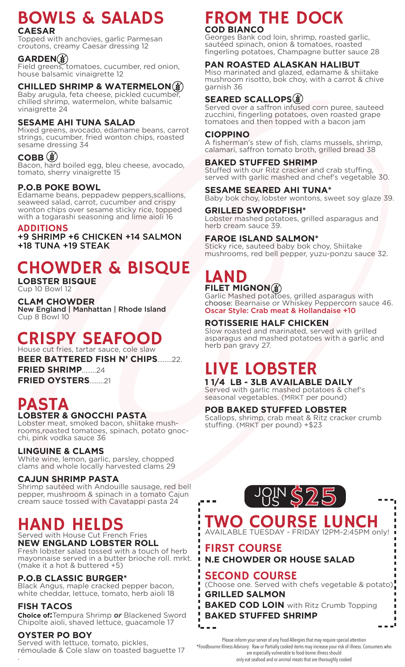# BOWLS & SALADS

#### **CAESAR**

Topped with anchovies, garlic Parmesan croutons, creamy Caesar dressing 12

#### **GARDEN**

Field greens, tomatoes, cucumber, red onion, house balsamic vinaigrette 12

#### **CHILLED SHRIMP & WATERMELON**

Baby arugula, feta cheese, pickled cucumber, chilled shrimp, watermelon, white balsamic vinaigrette 24

#### **SESAME AHI TUNA SALAD**

Mixed greens, avocado, edamame beans, carrot strings, cucumber, fried wonton chips, roasted sesame dressing 34

#### **COBB ③**

Bacon, hard boiled egg, bleu cheese, avocado, tomato, sherry vinaigrette 15

#### **P.O.B POKE BOWL**

Edamame beans, peppadew peppers,scallions, seaweed salad, carrot, cucumber and crispy wonton chips over sesame sticky rice, topped with a togarashi seasoning and lime aioli 16

#### ADDITIONS

+9 SHRIMP +6 CHICKEN +14 SALMON +18 TUNA +19 STEAK

# CHOWDER & BISQUE

**LOBSTER BISQUE** Cup 10 Bowl 12

**CLAM CHOWDER**

New England | Manhattan | Rhode Island Cup 8 Bowl 10

#### CRISPY SEAFOOD House cut fries, tartar sauce, cole slaw

**BEER BATTERED FISH N' CHIPS**........22.

**FRIED SHRIMP**........24 **FRIED OYSTERS**........21

## PASTA **LOBSTER & GNOCCHI PASTA**

Lobster meat, smoked bacon, shiitake mushrooms,roasted tomatoes, spinach, potato gnocchi, pink vodka sauce 36

#### **LINGUINE & CLAMS**

White wine, lemon, garlic, parsley, chopped clams and whole locally harvested clams 29

#### **CAJUN SHRIMP PASTA**

Shrimp sautéed with Andouille sausage, red bell pepper, mushroom & spinach in a tomato Cajun cream sauce tossed with Cavatappi pasta 24

## HAND HELDS

Served with House Cut French Fries **NEW ENGLAND LOBSTER ROLL** Fresh lobster salad tossed with a touch of herb

mayonnaise served in a butter brioche roll. mrkt. (make it a hot & buttered +5)

#### **P.O.B CLASSIC BURGER\***

Black Angus, maple cracked pepper bacon, white cheddar, lettuce, tomato, herb aioli 18

#### **FISH TACOS**

**Choice of:**Tempura Shrimp *or* Blackened Sword Chipolte aioli, shaved lettuce, guacamole 17

#### **OYSTER PO BOY**

Served with lettuce, tomato, pickles, rémoulade & Cole slaw on toasted baguette 17 .

## FROM THE DOCK **COD BIANCO**

Georges Bank cod loin, shrimp, roasted garlic, sautéed spinach, onion & tomatoes, roasted fingerling potatoes, Champagne butter sauce 28

#### **PAN ROASTED ALASKAN HALIBUT**

Miso marinated and glazed, edamame & shiitake mushroom risotto, bok choy, with a carrot & chive garnish 36

#### **SEARED SCALLOPS**

Served over a saffron infused corn puree, sauteed zucchini, fingerling potatoes, oven roasted grape tomatoes and then topped with a bacon jam

#### **CIOPPINO**

A fisherman's stew of fish, clams mussels, shrimp, calamari, saffron tomato broth, grilled bread 38

#### **BAKED STUFFED SHRIMP**

Stuffed with our Ritz cracker and crab stuffing, served with garlic mashed and chef's vegetable 30.

#### **SESAME SEARED AHI TUNA\***

Baby bok choy, lobster wontons, sweet soy glaze 39.

#### **GRILLED SWORDFISH\***

Lobster mashed potatoes, grilled asparagus and herb cream sauce 39.

#### **FAROE ISLAND SALMON\***

Sticky rice, sauteed baby bok choy, Shiitake mushrooms, red bell pepper, yuzu-ponzu sauce 32.

### LAND **FILET MIGNON**

Garlic Mashed potatoes, grilled asparagus with choose: Bearnaise or Whiskey Peppercorn sauce 46. Oscar Style: Crab meat & Hollandaise +10

#### **ROTISSERIE HALF CHICKEN**

Slow roasted and marinated, served with grilled asparagus and mashed potatoes with a garlic and herb pan gravy 27.

# LIVE LOBSTER

**1 1/4 LB - 3LB AVAILABLE DAILY**

Served with garlic mashed potatoes & chef's seasonal vegetables. (MRKT per pound)

#### **POB BAKED STUFFED LOBSTER**

Scallops, shrimp, crab meat & Ritz cracker crumb stuffing. (MRKT per pound) +\$23



## TWO COURSE LUNCH AVAILABLE TUESDAY - FRIDAY 12PM-2:45PM only!

FIRST COURSE **N.E CHOWDER OR HOUSE SALAD**

#### SECOND COURSE

Г П  $\blacksquare$ 

(Choose one. Served with chefs vegetable & potato) **GRILLED SALMON**

**BAKED COD LOIN** with Ritz Crumb Topping **BAKED STUFFED SHRIMP** Π.

Please inform your server of any Food Allergies that may require special attention

\*Foodbourne Illness Advisory: Raw or Partially cooked items may increase your risk of illness. Consumers who

are especially vulnerable to food-borne illness should only eat seafood and or animal meats that are thoroughly cooked